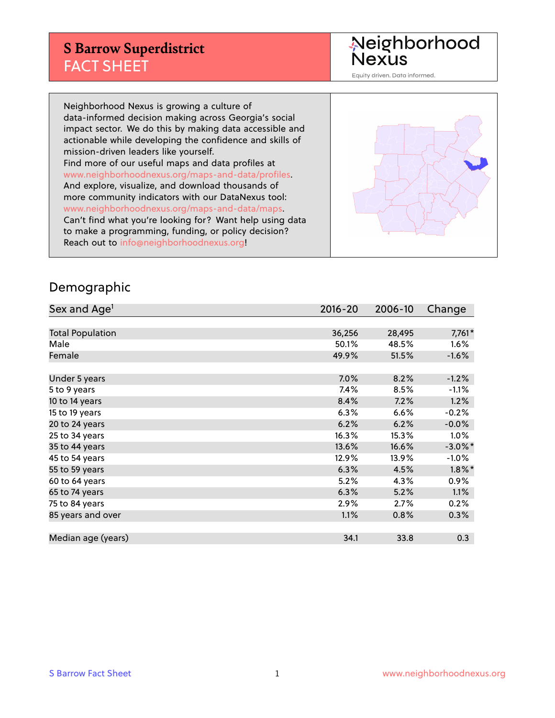## **S Barrow Superdistrict** FACT SHEET

Neighborhood<br>Nexus

Equity driven. Data informed.

Neighborhood Nexus is growing a culture of data-informed decision making across Georgia's social impact sector. We do this by making data accessible and actionable while developing the confidence and skills of mission-driven leaders like yourself. Find more of our useful maps and data profiles at www.neighborhoodnexus.org/maps-and-data/profiles. And explore, visualize, and download thousands of more community indicators with our DataNexus tool: www.neighborhoodnexus.org/maps-and-data/maps. Can't find what you're looking for? Want help using data to make a programming, funding, or policy decision? Reach out to [info@neighborhoodnexus.org!](mailto:info@neighborhoodnexus.org)



#### Demographic

| Sex and Age <sup>1</sup> | $2016 - 20$ | 2006-10 | Change     |
|--------------------------|-------------|---------|------------|
|                          |             |         |            |
| <b>Total Population</b>  | 36,256      | 28,495  | 7,761*     |
| Male                     | 50.1%       | 48.5%   | 1.6%       |
| Female                   | 49.9%       | 51.5%   | $-1.6%$    |
|                          |             |         |            |
| Under 5 years            | 7.0%        | 8.2%    | $-1.2%$    |
| 5 to 9 years             | 7.4%        | 8.5%    | $-1.1%$    |
| 10 to 14 years           | 8.4%        | 7.2%    | 1.2%       |
| 15 to 19 years           | 6.3%        | 6.6%    | $-0.2%$    |
| 20 to 24 years           | 6.2%        | 6.2%    | $-0.0%$    |
| 25 to 34 years           | 16.3%       | 15.3%   | 1.0%       |
| 35 to 44 years           | 13.6%       | 16.6%   | $-3.0\%$ * |
| 45 to 54 years           | 12.9%       | 13.9%   | $-1.0%$    |
| 55 to 59 years           | 6.3%        | 4.5%    | $1.8\%$ *  |
| 60 to 64 years           | 5.2%        | 4.3%    | $0.9\%$    |
| 65 to 74 years           | 6.3%        | 5.2%    | 1.1%       |
| 75 to 84 years           | $2.9\%$     | 2.7%    | 0.2%       |
| 85 years and over        | 1.1%        | 0.8%    | 0.3%       |
|                          |             |         |            |
| Median age (years)       | 34.1        | 33.8    | 0.3        |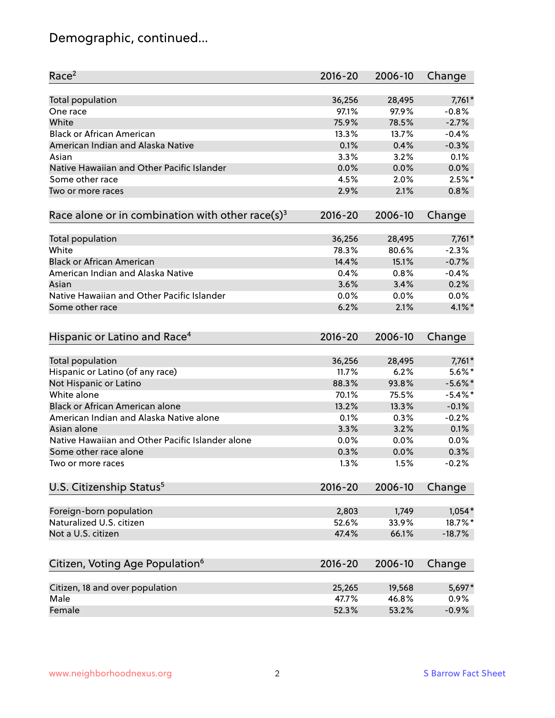# Demographic, continued...

| Race <sup>2</sup>                                            | $2016 - 20$ | 2006-10 | Change     |
|--------------------------------------------------------------|-------------|---------|------------|
| <b>Total population</b>                                      | 36,256      | 28,495  | 7,761*     |
| One race                                                     | 97.1%       | 97.9%   | $-0.8%$    |
| White                                                        | 75.9%       | 78.5%   | $-2.7%$    |
| <b>Black or African American</b>                             | 13.3%       | 13.7%   | $-0.4%$    |
| American Indian and Alaska Native                            | 0.1%        | 0.4%    | $-0.3%$    |
| Asian                                                        | 3.3%        | 3.2%    | 0.1%       |
| Native Hawaiian and Other Pacific Islander                   | 0.0%        | 0.0%    | 0.0%       |
| Some other race                                              | 4.5%        | 2.0%    | $2.5\%$ *  |
| Two or more races                                            | 2.9%        | 2.1%    | 0.8%       |
| Race alone or in combination with other race(s) <sup>3</sup> | $2016 - 20$ | 2006-10 | Change     |
| Total population                                             | 36,256      | 28,495  | 7,761*     |
| White                                                        | 78.3%       | 80.6%   | $-2.3%$    |
| <b>Black or African American</b>                             | 14.4%       | 15.1%   | $-0.7%$    |
| American Indian and Alaska Native                            | 0.4%        | 0.8%    | $-0.4%$    |
| Asian                                                        | 3.6%        | 3.4%    | 0.2%       |
| Native Hawaiian and Other Pacific Islander                   | 0.0%        | 0.0%    | 0.0%       |
| Some other race                                              | 6.2%        | 2.1%    | $4.1\%$ *  |
| Hispanic or Latino and Race <sup>4</sup>                     | $2016 - 20$ | 2006-10 | Change     |
| Total population                                             | 36,256      | 28,495  | 7,761*     |
| Hispanic or Latino (of any race)                             | 11.7%       | 6.2%    | $5.6\%$ *  |
| Not Hispanic or Latino                                       | 88.3%       | 93.8%   | $-5.6\%$ * |
| White alone                                                  | 70.1%       | 75.5%   | $-5.4\%$ * |
| <b>Black or African American alone</b>                       | 13.2%       | 13.3%   | $-0.1%$    |
| American Indian and Alaska Native alone                      | 0.1%        | 0.3%    | $-0.2%$    |
| Asian alone                                                  | 3.3%        | 3.2%    | 0.1%       |
| Native Hawaiian and Other Pacific Islander alone             | 0.0%        | 0.0%    | 0.0%       |
| Some other race alone                                        | 0.3%        | 0.0%    | 0.3%       |
| Two or more races                                            | 1.3%        | 1.5%    | $-0.2%$    |
| U.S. Citizenship Status <sup>5</sup>                         | $2016 - 20$ | 2006-10 | Change     |
|                                                              | 2,803       | 1,749   | $1,054*$   |
| Foreign-born population<br>Naturalized U.S. citizen          | 52.6%       | 33.9%   | 18.7%*     |
| Not a U.S. citizen                                           | 47.4%       | 66.1%   | $-18.7%$   |
|                                                              |             |         |            |
| Citizen, Voting Age Population <sup>6</sup>                  | $2016 - 20$ | 2006-10 | Change     |
| Citizen, 18 and over population                              | 25,265      | 19,568  | 5,697*     |
| Male                                                         | 47.7%       | 46.8%   | 0.9%       |
| Female                                                       | 52.3%       | 53.2%   | $-0.9%$    |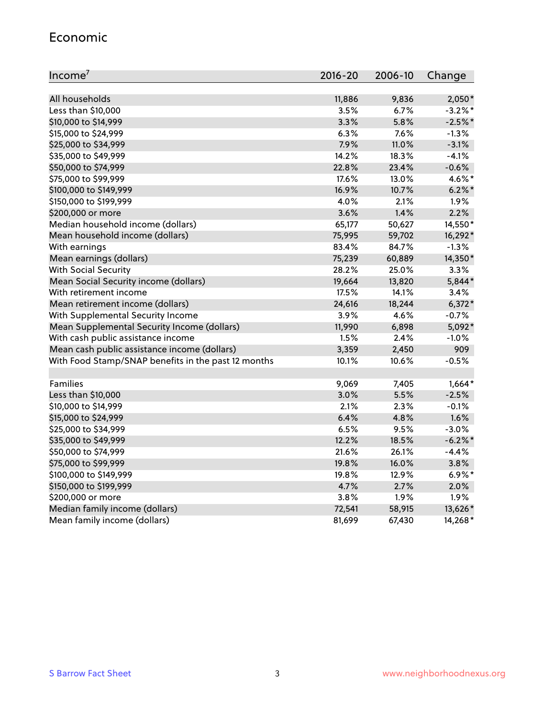#### Economic

| Income <sup>7</sup>                                 | $2016 - 20$ | 2006-10 | Change     |
|-----------------------------------------------------|-------------|---------|------------|
|                                                     |             |         |            |
| All households                                      | 11,886      | 9,836   | 2,050*     |
| Less than \$10,000                                  | 3.5%        | 6.7%    | $-3.2\%$ * |
| \$10,000 to \$14,999                                | 3.3%        | 5.8%    | $-2.5%$ *  |
| \$15,000 to \$24,999                                | 6.3%        | 7.6%    | $-1.3%$    |
| \$25,000 to \$34,999                                | 7.9%        | 11.0%   | $-3.1%$    |
| \$35,000 to \$49,999                                | 14.2%       | 18.3%   | $-4.1%$    |
| \$50,000 to \$74,999                                | 22.8%       | 23.4%   | $-0.6%$    |
| \$75,000 to \$99,999                                | 17.6%       | 13.0%   | 4.6%*      |
| \$100,000 to \$149,999                              | 16.9%       | 10.7%   | $6.2\%$ *  |
| \$150,000 to \$199,999                              | 4.0%        | 2.1%    | 1.9%       |
| \$200,000 or more                                   | 3.6%        | 1.4%    | 2.2%       |
| Median household income (dollars)                   | 65,177      | 50,627  | 14,550*    |
| Mean household income (dollars)                     | 75,995      | 59,702  | 16,292*    |
| With earnings                                       | 83.4%       | 84.7%   | $-1.3%$    |
| Mean earnings (dollars)                             | 75,239      | 60,889  | 14,350*    |
| <b>With Social Security</b>                         | 28.2%       | 25.0%   | 3.3%       |
| Mean Social Security income (dollars)               | 19,664      | 13,820  | 5,844*     |
| With retirement income                              | 17.5%       | 14.1%   | 3.4%       |
| Mean retirement income (dollars)                    | 24,616      | 18,244  | $6,372*$   |
| With Supplemental Security Income                   | 3.9%        | 4.6%    | $-0.7%$    |
| Mean Supplemental Security Income (dollars)         | 11,990      | 6,898   | 5,092*     |
| With cash public assistance income                  | 1.5%        | 2.4%    | $-1.0%$    |
| Mean cash public assistance income (dollars)        | 3,359       | 2,450   | 909        |
| With Food Stamp/SNAP benefits in the past 12 months | 10.1%       | 10.6%   | $-0.5%$    |
|                                                     |             |         |            |
| Families                                            | 9,069       | 7,405   | $1,664*$   |
| Less than \$10,000                                  | 3.0%        | 5.5%    | $-2.5%$    |
| \$10,000 to \$14,999                                | 2.1%        | 2.3%    | $-0.1%$    |
| \$15,000 to \$24,999                                | 6.4%        | 4.8%    | 1.6%       |
| \$25,000 to \$34,999                                | 6.5%        | 9.5%    | $-3.0%$    |
| \$35,000 to \$49,999                                | 12.2%       | 18.5%   | $-6.2\%$ * |
| \$50,000 to \$74,999                                | 21.6%       | 26.1%   | $-4.4%$    |
| \$75,000 to \$99,999                                | 19.8%       | 16.0%   | 3.8%       |
| \$100,000 to \$149,999                              | 19.8%       | 12.9%   | $6.9\%*$   |
| \$150,000 to \$199,999                              | 4.7%        | 2.7%    | 2.0%       |
| \$200,000 or more                                   | 3.8%        | 1.9%    | 1.9%       |
| Median family income (dollars)                      | 72,541      | 58,915  | 13,626*    |
| Mean family income (dollars)                        | 81,699      | 67,430  | 14,268*    |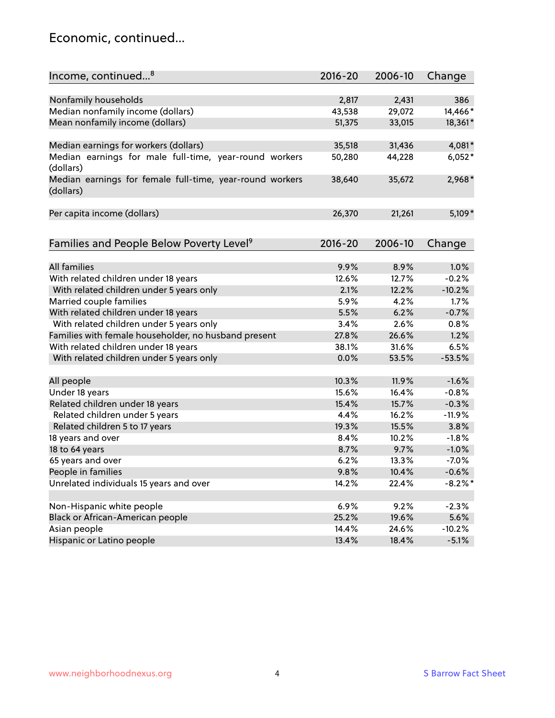### Economic, continued...

| Income, continued <sup>8</sup>                                        | $2016 - 20$ | 2006-10 | Change     |
|-----------------------------------------------------------------------|-------------|---------|------------|
|                                                                       |             |         |            |
| Nonfamily households                                                  | 2,817       | 2,431   | 386        |
| Median nonfamily income (dollars)                                     | 43,538      | 29,072  | 14,466*    |
| Mean nonfamily income (dollars)                                       | 51,375      | 33,015  | 18,361*    |
|                                                                       |             |         |            |
| Median earnings for workers (dollars)                                 | 35,518      | 31,436  | 4,081*     |
| Median earnings for male full-time, year-round workers<br>(dollars)   | 50,280      | 44,228  | $6,052*$   |
| Median earnings for female full-time, year-round workers<br>(dollars) | 38,640      | 35,672  | 2,968*     |
| Per capita income (dollars)                                           | 26,370      | 21,261  | $5,109*$   |
|                                                                       |             |         |            |
| Families and People Below Poverty Level <sup>9</sup>                  | $2016 - 20$ | 2006-10 | Change     |
| <b>All families</b>                                                   |             | 8.9%    | 1.0%       |
|                                                                       | 9.9%        |         |            |
| With related children under 18 years                                  | 12.6%       | 12.7%   | $-0.2%$    |
| With related children under 5 years only                              | 2.1%        | 12.2%   | $-10.2%$   |
| Married couple families                                               | 5.9%        | 4.2%    | 1.7%       |
| With related children under 18 years                                  | 5.5%        | 6.2%    | $-0.7%$    |
| With related children under 5 years only                              | 3.4%        | 2.6%    | 0.8%       |
| Families with female householder, no husband present                  | 27.8%       | 26.6%   | 1.2%       |
| With related children under 18 years                                  | 38.1%       | 31.6%   | 6.5%       |
| With related children under 5 years only                              | 0.0%        | 53.5%   | $-53.5%$   |
| All people                                                            | 10.3%       | 11.9%   | $-1.6%$    |
| Under 18 years                                                        | 15.6%       | 16.4%   | $-0.8%$    |
| Related children under 18 years                                       | 15.4%       | 15.7%   | $-0.3%$    |
| Related children under 5 years                                        | 4.4%        | 16.2%   | $-11.9%$   |
| Related children 5 to 17 years                                        | 19.3%       | 15.5%   | 3.8%       |
| 18 years and over                                                     | 8.4%        | 10.2%   | $-1.8%$    |
| 18 to 64 years                                                        | 8.7%        | 9.7%    | $-1.0%$    |
| 65 years and over                                                     | 6.2%        | 13.3%   | $-7.0%$    |
| People in families                                                    | 9.8%        | 10.4%   | $-0.6%$    |
| Unrelated individuals 15 years and over                               | 14.2%       | 22.4%   | $-8.2\%$ * |
|                                                                       |             |         |            |
| Non-Hispanic white people                                             | 6.9%        | 9.2%    | $-2.3%$    |
| Black or African-American people                                      | 25.2%       | 19.6%   | 5.6%       |
| Asian people                                                          | 14.4%       | 24.6%   | $-10.2%$   |
| Hispanic or Latino people                                             | 13.4%       | 18.4%   | $-5.1%$    |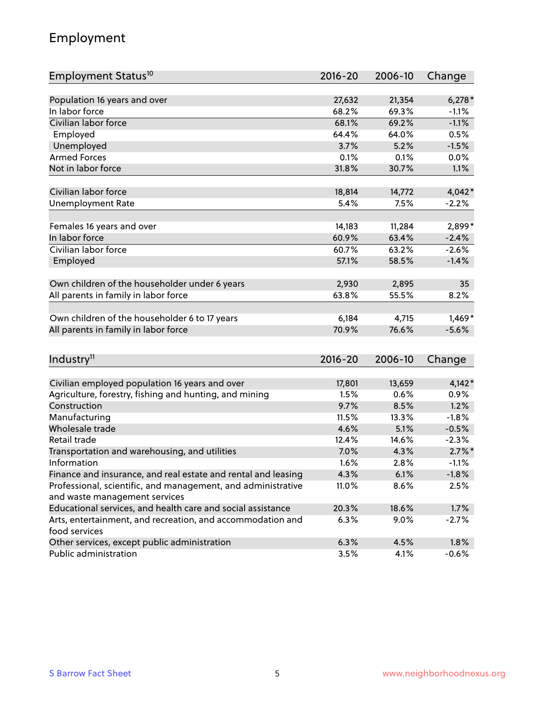### Employment

| Employment Status <sup>10</sup>                                             | $2016 - 20$ | 2006-10 | Change    |
|-----------------------------------------------------------------------------|-------------|---------|-----------|
|                                                                             |             |         |           |
| Population 16 years and over                                                | 27,632      | 21,354  | $6,278*$  |
| In labor force                                                              | 68.2%       | 69.3%   | $-1.1%$   |
| Civilian labor force                                                        | 68.1%       | 69.2%   | $-1.1%$   |
| Employed                                                                    | 64.4%       | 64.0%   | 0.5%      |
| Unemployed                                                                  | 3.7%        | 5.2%    | $-1.5%$   |
| <b>Armed Forces</b>                                                         | 0.1%        | 0.1%    | 0.0%      |
| Not in labor force                                                          | 31.8%       | 30.7%   | 1.1%      |
| Civilian labor force                                                        | 18,814      | 14,772  | $4,042*$  |
| <b>Unemployment Rate</b>                                                    | 5.4%        | 7.5%    | $-2.2%$   |
|                                                                             |             |         |           |
| Females 16 years and over                                                   | 14,183      | 11,284  | 2,899*    |
| In labor force                                                              | 60.9%       | 63.4%   | $-2.4%$   |
| Civilian labor force                                                        | 60.7%       | 63.2%   | $-2.6%$   |
| Employed                                                                    | 57.1%       | 58.5%   | $-1.4%$   |
|                                                                             |             |         |           |
| Own children of the householder under 6 years                               | 2,930       | 2,895   | 35        |
| All parents in family in labor force                                        | 63.8%       | 55.5%   | 8.2%      |
| Own children of the householder 6 to 17 years                               | 6,184       | 4,715   | $1,469*$  |
| All parents in family in labor force                                        | 70.9%       | 76.6%   | $-5.6%$   |
|                                                                             |             |         |           |
| Industry <sup>11</sup>                                                      | $2016 - 20$ | 2006-10 | Change    |
|                                                                             |             |         |           |
| Civilian employed population 16 years and over                              | 17,801      | 13,659  | $4,142*$  |
| Agriculture, forestry, fishing and hunting, and mining                      | 1.5%        | 0.6%    | 0.9%      |
| Construction                                                                | 9.7%        | 8.5%    | 1.2%      |
| Manufacturing                                                               | 11.5%       | 13.3%   | $-1.8%$   |
| Wholesale trade                                                             | 4.6%        | 5.1%    | $-0.5%$   |
| Retail trade                                                                | 12.4%       | 14.6%   | $-2.3%$   |
| Transportation and warehousing, and utilities                               | 7.0%        | 4.3%    | $2.7\%$ * |
| Information                                                                 | 1.6%        | 2.8%    | $-1.1%$   |
| Finance and insurance, and real estate and rental and leasing               | 4.3%        | 6.1%    | $-1.8%$   |
| Professional, scientific, and management, and administrative                | 11.0%       | 8.6%    | 2.5%      |
| and waste management services                                               |             |         |           |
| Educational services, and health care and social assistance                 | 20.3%       | 18.6%   | 1.7%      |
| Arts, entertainment, and recreation, and accommodation and<br>food services | 6.3%        | 9.0%    | $-2.7%$   |
| Other services, except public administration                                | 6.3%        | 4.5%    | 1.8%      |
| Public administration                                                       | 3.5%        | 4.1%    | $-0.6%$   |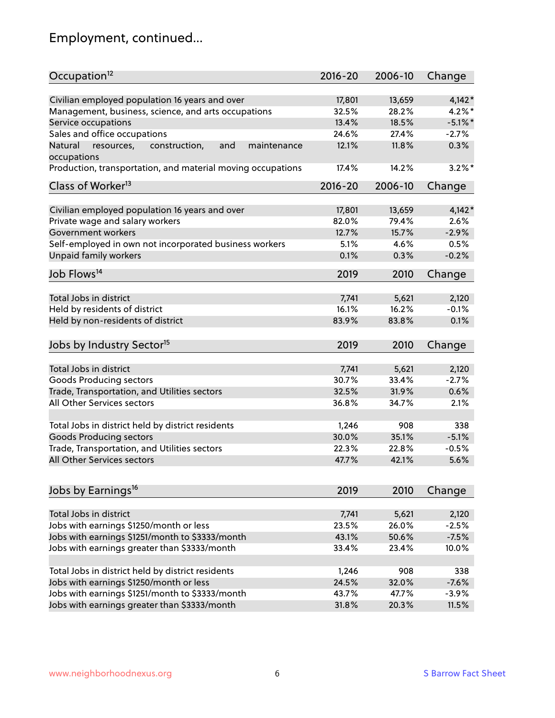# Employment, continued...

| Occupation <sup>12</sup>                                     | $2016 - 20$ | 2006-10 | Change     |
|--------------------------------------------------------------|-------------|---------|------------|
| Civilian employed population 16 years and over               | 17,801      | 13,659  | $4,142*$   |
| Management, business, science, and arts occupations          | 32.5%       | 28.2%   | $4.2\%$ *  |
| Service occupations                                          | 13.4%       | 18.5%   | $-5.1\%$ * |
| Sales and office occupations                                 | 24.6%       | 27.4%   | $-2.7%$    |
| Natural<br>and<br>resources,<br>construction,<br>maintenance | 12.1%       | 11.8%   | 0.3%       |
| occupations                                                  |             |         |            |
| Production, transportation, and material moving occupations  | 17.4%       | 14.2%   | $3.2\%$ *  |
| Class of Worker <sup>13</sup>                                | $2016 - 20$ | 2006-10 | Change     |
|                                                              |             |         |            |
| Civilian employed population 16 years and over               | 17,801      | 13,659  | $4,142*$   |
| Private wage and salary workers                              | 82.0%       | 79.4%   | 2.6%       |
| Government workers                                           | 12.7%       | 15.7%   | $-2.9%$    |
| Self-employed in own not incorporated business workers       | 5.1%        | 4.6%    | 0.5%       |
| Unpaid family workers                                        | 0.1%        | 0.3%    | $-0.2%$    |
| Job Flows <sup>14</sup>                                      | 2019        | 2010    | Change     |
|                                                              |             |         |            |
| Total Jobs in district                                       | 7,741       | 5,621   | 2,120      |
| Held by residents of district                                | 16.1%       | 16.2%   | $-0.1%$    |
| Held by non-residents of district                            | 83.9%       | 83.8%   | 0.1%       |
| Jobs by Industry Sector <sup>15</sup>                        | 2019        | 2010    | Change     |
| Total Jobs in district                                       | 7,741       | 5,621   | 2,120      |
| Goods Producing sectors                                      | 30.7%       | 33.4%   | $-2.7%$    |
| Trade, Transportation, and Utilities sectors                 | 32.5%       | 31.9%   | 0.6%       |
| All Other Services sectors                                   | 36.8%       | 34.7%   | 2.1%       |
|                                                              |             |         |            |
| Total Jobs in district held by district residents            | 1,246       | 908     | 338        |
| <b>Goods Producing sectors</b>                               | 30.0%       | 35.1%   | $-5.1%$    |
| Trade, Transportation, and Utilities sectors                 | 22.3%       | 22.8%   | $-0.5%$    |
| All Other Services sectors                                   | 47.7%       | 42.1%   | 5.6%       |
|                                                              |             |         |            |
| Jobs by Earnings <sup>16</sup>                               | 2019        | 2010    | Change     |
| Total Jobs in district                                       | 7,741       | 5,621   | 2,120      |
| Jobs with earnings \$1250/month or less                      | 23.5%       | 26.0%   | $-2.5%$    |
| Jobs with earnings \$1251/month to \$3333/month              | 43.1%       | 50.6%   | $-7.5%$    |
| Jobs with earnings greater than \$3333/month                 | 33.4%       | 23.4%   | 10.0%      |
|                                                              |             |         |            |
| Total Jobs in district held by district residents            | 1,246       | 908     | 338        |
| Jobs with earnings \$1250/month or less                      | 24.5%       | 32.0%   | $-7.6%$    |
| Jobs with earnings \$1251/month to \$3333/month              | 43.7%       | 47.7%   | $-3.9%$    |
| Jobs with earnings greater than \$3333/month                 | 31.8%       | 20.3%   | 11.5%      |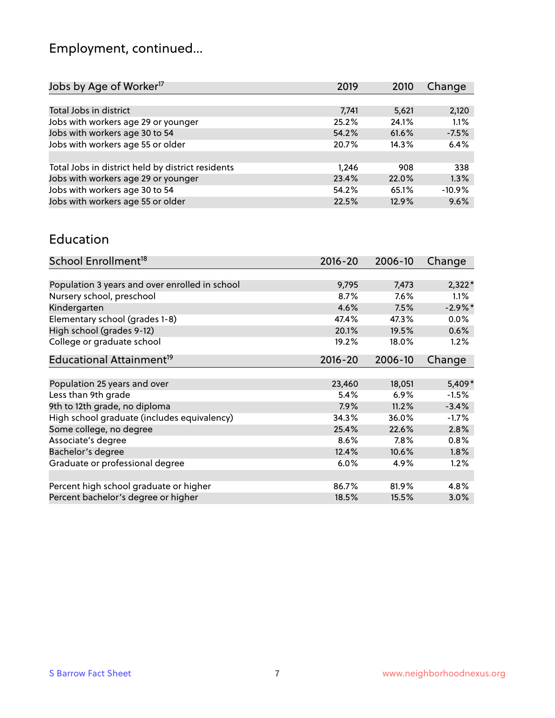# Employment, continued...

| Jobs by Age of Worker <sup>17</sup>               | 2019  | 2010  | Change   |
|---------------------------------------------------|-------|-------|----------|
|                                                   |       |       |          |
| Total Jobs in district                            | 7,741 | 5,621 | 2,120    |
| Jobs with workers age 29 or younger               | 25.2% | 24.1% | 1.1%     |
| Jobs with workers age 30 to 54                    | 54.2% | 61.6% | $-7.5%$  |
| Jobs with workers age 55 or older                 | 20.7% | 14.3% | 6.4%     |
|                                                   |       |       |          |
| Total Jobs in district held by district residents | 1.246 | 908   | 338      |
| Jobs with workers age 29 or younger               | 23.4% | 22.0% | 1.3%     |
| Jobs with workers age 30 to 54                    | 54.2% | 65.1% | $-10.9%$ |
| Jobs with workers age 55 or older                 | 22.5% | 12.9% | 9.6%     |
|                                                   |       |       |          |

#### Education

| School Enrollment <sup>18</sup>                | $2016 - 20$ | 2006-10 | Change     |
|------------------------------------------------|-------------|---------|------------|
|                                                |             |         |            |
| Population 3 years and over enrolled in school | 9,795       | 7,473   | $2,322*$   |
| Nursery school, preschool                      | 8.7%        | $7.6\%$ | $1.1\%$    |
| Kindergarten                                   | 4.6%        | 7.5%    | $-2.9\%$ * |
| Elementary school (grades 1-8)                 | 47.4%       | 47.3%   | 0.0%       |
| High school (grades 9-12)                      | 20.1%       | 19.5%   | $0.6\%$    |
| College or graduate school                     | 19.2%       | 18.0%   | 1.2%       |
| Educational Attainment <sup>19</sup>           | $2016 - 20$ | 2006-10 | Change     |
|                                                |             |         |            |
| Population 25 years and over                   | 23,460      | 18,051  | 5,409*     |
| Less than 9th grade                            | 5.4%        | 6.9%    | $-1.5%$    |
| 9th to 12th grade, no diploma                  | 7.9%        | 11.2%   | $-3.4%$    |
| High school graduate (includes equivalency)    | 34.3%       | 36.0%   | $-1.7%$    |
| Some college, no degree                        | 25.4%       | 22.6%   | 2.8%       |
| Associate's degree                             | 8.6%        | 7.8%    | 0.8%       |
| Bachelor's degree                              | 12.4%       | 10.6%   | 1.8%       |
| Graduate or professional degree                | 6.0%        | 4.9%    | 1.2%       |
|                                                |             |         |            |
| Percent high school graduate or higher         | 86.7%       | 81.9%   | 4.8%       |
| Percent bachelor's degree or higher            | 18.5%       | 15.5%   | 3.0%       |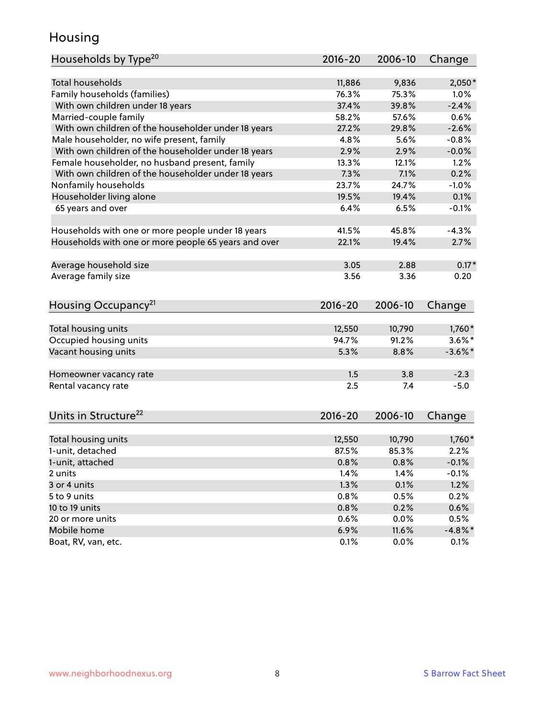### Housing

| Households by Type <sup>20</sup>                     | 2016-20         | 2006-10         | Change     |
|------------------------------------------------------|-----------------|-----------------|------------|
|                                                      |                 |                 |            |
| <b>Total households</b>                              | 11,886          | 9,836           | $2,050*$   |
| Family households (families)                         | 76.3%           | 75.3%           | 1.0%       |
| With own children under 18 years                     | 37.4%           | 39.8%           | $-2.4%$    |
| Married-couple family                                | 58.2%           | 57.6%           | 0.6%       |
| With own children of the householder under 18 years  | 27.2%           | 29.8%           | $-2.6%$    |
| Male householder, no wife present, family            | 4.8%            | 5.6%            | $-0.8%$    |
| With own children of the householder under 18 years  | 2.9%            | 2.9%            | $-0.0%$    |
| Female householder, no husband present, family       | 13.3%           | 12.1%           | 1.2%       |
| With own children of the householder under 18 years  | 7.3%            | 7.1%            | 0.2%       |
| Nonfamily households                                 | 23.7%           | 24.7%           | $-1.0%$    |
| Householder living alone                             | 19.5%           | 19.4%           | 0.1%       |
| 65 years and over                                    | 6.4%            | 6.5%            | $-0.1%$    |
|                                                      |                 |                 |            |
| Households with one or more people under 18 years    | 41.5%           | 45.8%           | $-4.3%$    |
| Households with one or more people 65 years and over | 22.1%           | 19.4%           | 2.7%       |
| Average household size                               | 3.05            | 2.88            | $0.17*$    |
| Average family size                                  | 3.56            | 3.36            | 0.20       |
|                                                      |                 |                 |            |
| Housing Occupancy <sup>21</sup>                      | $2016 - 20$     | 2006-10         | Change     |
|                                                      |                 |                 |            |
| Total housing units                                  | 12,550<br>94.7% | 10,790<br>91.2% | $1,760*$   |
| Occupied housing units                               |                 |                 | $3.6\%$ *  |
| Vacant housing units                                 | 5.3%            | 8.8%            | $-3.6\%$ * |
| Homeowner vacancy rate                               | 1.5             | 3.8             | $-2.3$     |
| Rental vacancy rate                                  | 2.5             | 7.4             | $-5.0$     |
|                                                      |                 |                 |            |
| Units in Structure <sup>22</sup>                     | 2016-20         | 2006-10         | Change     |
| Total housing units                                  | 12,550          | 10,790          | $1,760*$   |
| 1-unit, detached                                     | 87.5%           | 85.3%           | 2.2%       |
| 1-unit, attached                                     | 0.8%            | 0.8%            | $-0.1%$    |
| 2 units                                              | 1.4%            | 1.4%            | $-0.1%$    |
| 3 or 4 units                                         | 1.3%            | 0.1%            | 1.2%       |
| 5 to 9 units                                         | 0.8%            | 0.5%            | 0.2%       |
| 10 to 19 units                                       |                 |                 |            |
|                                                      | 0.8%            | 0.2%            | 0.6%       |
| 20 or more units                                     | 0.6%            | 0.0%            | 0.5%       |
| Mobile home                                          | 6.9%            | 11.6%           | $-4.8\%$ * |
| Boat, RV, van, etc.                                  | 0.1%            | 0.0%            | 0.1%       |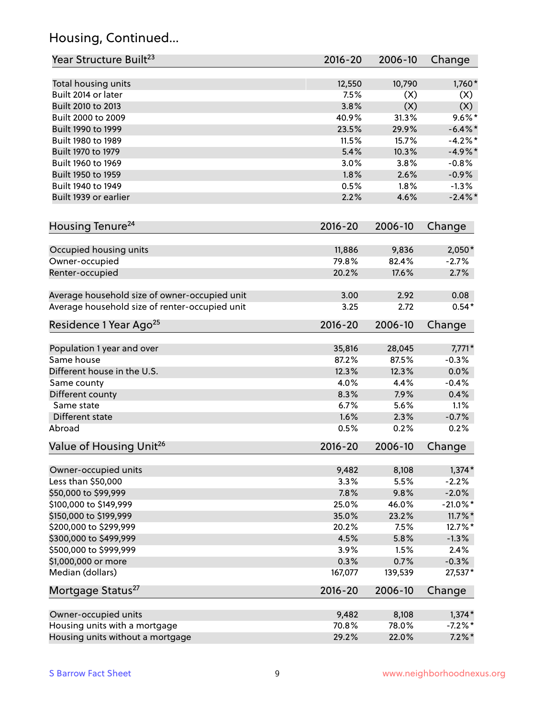### Housing, Continued...

| Year Structure Built <sup>23</sup>             | 2016-20     | 2006-10 | Change      |
|------------------------------------------------|-------------|---------|-------------|
| Total housing units                            | 12,550      | 10,790  | 1,760*      |
| Built 2014 or later                            | 7.5%        | (X)     | (X)         |
| Built 2010 to 2013                             | 3.8%        | (X)     | (X)         |
| Built 2000 to 2009                             | 40.9%       | 31.3%   | $9.6\%$ *   |
| Built 1990 to 1999                             | 23.5%       | 29.9%   | $-6.4\%$ *  |
| Built 1980 to 1989                             | 11.5%       | 15.7%   | $-4.2%$     |
| Built 1970 to 1979                             | 5.4%        | 10.3%   | $-4.9%$ *   |
| Built 1960 to 1969                             | 3.0%        | 3.8%    | $-0.8%$     |
| Built 1950 to 1959                             | 1.8%        | 2.6%    | $-0.9%$     |
| Built 1940 to 1949                             | 0.5%        | 1.8%    | $-1.3%$     |
| Built 1939 or earlier                          | 2.2%        | 4.6%    | $-2.4\%$ *  |
|                                                |             |         |             |
| Housing Tenure <sup>24</sup>                   | $2016 - 20$ | 2006-10 | Change      |
| Occupied housing units                         | 11,886      | 9,836   | $2,050*$    |
| Owner-occupied                                 | 79.8%       | 82.4%   | $-2.7%$     |
| Renter-occupied                                | 20.2%       | 17.6%   | 2.7%        |
| Average household size of owner-occupied unit  | 3.00        | 2.92    | 0.08        |
| Average household size of renter-occupied unit | 3.25        | 2.72    | $0.54*$     |
| Residence 1 Year Ago <sup>25</sup>             | $2016 - 20$ | 2006-10 | Change      |
|                                                |             |         |             |
| Population 1 year and over                     | 35,816      | 28,045  | $7,771*$    |
| Same house                                     | 87.2%       | 87.5%   | $-0.3%$     |
| Different house in the U.S.                    | 12.3%       | 12.3%   | 0.0%        |
| Same county                                    | 4.0%        | 4.4%    | $-0.4%$     |
| Different county                               | 8.3%        | 7.9%    | 0.4%        |
| Same state                                     | 6.7%        | 5.6%    | 1.1%        |
| Different state                                | 1.6%        | 2.3%    | $-0.7%$     |
| Abroad                                         | 0.5%        | 0.2%    | 0.2%        |
| Value of Housing Unit <sup>26</sup>            | $2016 - 20$ | 2006-10 | Change      |
| Owner-occupied units                           | 9,482       | 8,108   | $1,374*$    |
| Less than \$50,000                             | 3.3%        | 5.5%    | $-2.2%$     |
| \$50,000 to \$99,999                           | 7.8%        | 9.8%    | $-2.0%$     |
| \$100,000 to \$149,999                         | 25.0%       | 46.0%   | $-21.0\%$ * |
| \$150,000 to \$199,999                         | 35.0%       | 23.2%   | $11.7\%$ *  |
| \$200,000 to \$299,999                         | 20.2%       | 7.5%    | 12.7%*      |
| \$300,000 to \$499,999                         | 4.5%        | 5.8%    | $-1.3%$     |
| \$500,000 to \$999,999                         | 3.9%        | 1.5%    | 2.4%        |
|                                                | 0.3%        | 0.7%    | $-0.3%$     |
| \$1,000,000 or more<br>Median (dollars)        | 167,077     |         | 27,537*     |
|                                                |             | 139,539 |             |
| Mortgage Status <sup>27</sup>                  | $2016 - 20$ | 2006-10 | Change      |
| Owner-occupied units                           | 9,482       | 8,108   | $1,374*$    |
| Housing units with a mortgage                  | 70.8%       | 78.0%   | $-7.2\%$ *  |
| Housing units without a mortgage               | 29.2%       | 22.0%   | $7.2\%$ *   |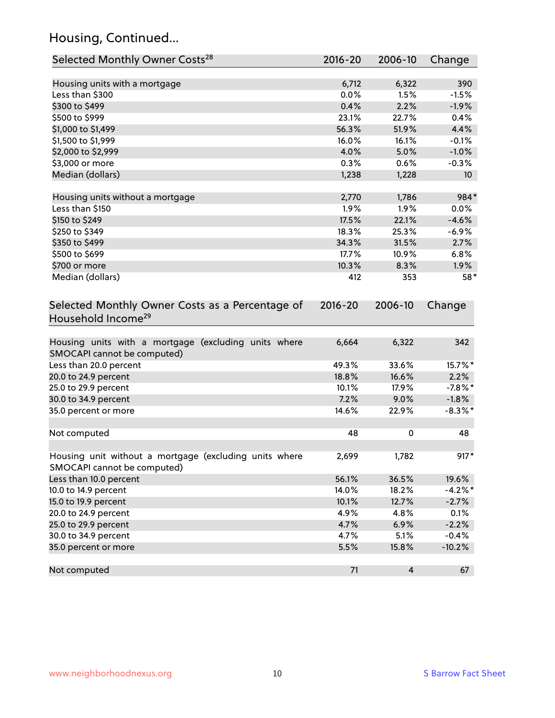### Housing, Continued...

| Selected Monthly Owner Costs <sup>28</sup>                                            | 2016-20     | 2006-10                 | Change          |
|---------------------------------------------------------------------------------------|-------------|-------------------------|-----------------|
| Housing units with a mortgage                                                         | 6,712       | 6,322                   | 390             |
| Less than \$300                                                                       | 0.0%        | 1.5%                    | $-1.5%$         |
| \$300 to \$499                                                                        | 0.4%        | 2.2%                    | $-1.9%$         |
| \$500 to \$999                                                                        | 23.1%       | 22.7%                   | 0.4%            |
| \$1,000 to \$1,499                                                                    | 56.3%       | 51.9%                   | 4.4%            |
| \$1,500 to \$1,999                                                                    | 16.0%       | 16.1%                   | $-0.1%$         |
| \$2,000 to \$2,999                                                                    | 4.0%        | 5.0%                    | $-1.0%$         |
| \$3,000 or more                                                                       | 0.3%        | 0.6%                    | $-0.3%$         |
| Median (dollars)                                                                      | 1,238       | 1,228                   | 10 <sup>°</sup> |
| Housing units without a mortgage                                                      | 2,770       | 1,786                   | 984*            |
| Less than \$150                                                                       | 1.9%        | 1.9%                    | 0.0%            |
| \$150 to \$249                                                                        | 17.5%       | 22.1%                   | $-4.6%$         |
| \$250 to \$349                                                                        | 18.3%       | 25.3%                   | $-6.9%$         |
| \$350 to \$499                                                                        | 34.3%       | 31.5%                   | 2.7%            |
| \$500 to \$699                                                                        | 17.7%       | 10.9%                   | 6.8%            |
| \$700 or more                                                                         | 10.3%       | 8.3%                    | 1.9%            |
| Median (dollars)                                                                      | 412         | 353                     | 58*             |
| Selected Monthly Owner Costs as a Percentage of<br>Household Income <sup>29</sup>     | $2016 - 20$ | 2006-10                 | Change          |
|                                                                                       |             |                         |                 |
| Housing units with a mortgage (excluding units where<br>SMOCAPI cannot be computed)   | 6,664       | 6,322                   | 342             |
| Less than 20.0 percent                                                                | 49.3%       | 33.6%                   | 15.7%*          |
| 20.0 to 24.9 percent                                                                  | 18.8%       | 16.6%                   | 2.2%            |
| 25.0 to 29.9 percent                                                                  | 10.1%       | 17.9%                   | $-7.8\%$ *      |
| 30.0 to 34.9 percent                                                                  | 7.2%        | 9.0%                    | $-1.8%$         |
| 35.0 percent or more                                                                  | 14.6%       | 22.9%                   | $-8.3\%$ *      |
| Not computed                                                                          | 48          | 0                       | 48              |
|                                                                                       |             |                         |                 |
| Housing unit without a mortgage (excluding units where<br>SMOCAPI cannot be computed) | 2,699       | 1,782                   | $917*$          |
| Less than 10.0 percent                                                                | 56.1%       | 36.5%                   | 19.6%           |
| 10.0 to 14.9 percent                                                                  | 14.0%       | 18.2%                   | $-4.2%$ *       |
| 15.0 to 19.9 percent                                                                  | 10.1%       | 12.7%                   | $-2.7%$         |
| 20.0 to 24.9 percent                                                                  | 4.9%        | 4.8%                    | 0.1%            |
| 25.0 to 29.9 percent                                                                  | 4.7%        | 6.9%                    | $-2.2%$         |
| 30.0 to 34.9 percent                                                                  | 4.7%        | 5.1%                    | $-0.4%$         |
| 35.0 percent or more                                                                  | 5.5%        | 15.8%                   | $-10.2%$        |
| Not computed                                                                          | 71          | $\overline{\mathbf{4}}$ | 67              |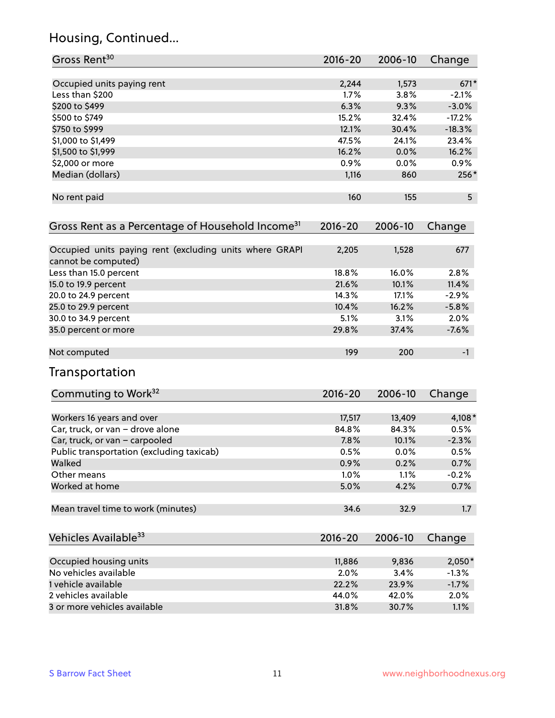### Housing, Continued...

| Gross Rent <sup>30</sup>                                                       | $2016 - 20$ | 2006-10 | Change   |
|--------------------------------------------------------------------------------|-------------|---------|----------|
| Occupied units paying rent                                                     | 2,244       | 1,573   | $671*$   |
| Less than \$200                                                                | 1.7%        | 3.8%    | $-2.1%$  |
| \$200 to \$499                                                                 | 6.3%        | 9.3%    | $-3.0%$  |
| \$500 to \$749                                                                 | 15.2%       | 32.4%   | $-17.2%$ |
| \$750 to \$999                                                                 | 12.1%       | 30.4%   | $-18.3%$ |
| \$1,000 to \$1,499                                                             | 47.5%       | 24.1%   | 23.4%    |
| \$1,500 to \$1,999                                                             | 16.2%       | 0.0%    | 16.2%    |
| \$2,000 or more                                                                | 0.9%        | 0.0%    | 0.9%     |
| Median (dollars)                                                               | 1,116       | 860     | 256*     |
| No rent paid                                                                   | 160         | 155     | 5        |
| Gross Rent as a Percentage of Household Income <sup>31</sup>                   | $2016 - 20$ | 2006-10 | Change   |
| Occupied units paying rent (excluding units where GRAPI<br>cannot be computed) | 2,205       | 1,528   | 677      |
| Less than 15.0 percent                                                         | 18.8%       | 16.0%   | 2.8%     |
| 15.0 to 19.9 percent                                                           | 21.6%       | 10.1%   | 11.4%    |
| 20.0 to 24.9 percent                                                           | 14.3%       | 17.1%   | $-2.9%$  |
| 25.0 to 29.9 percent                                                           | 10.4%       | 16.2%   | $-5.8%$  |
| 30.0 to 34.9 percent                                                           | 5.1%        | 3.1%    | 2.0%     |
| 35.0 percent or more                                                           | 29.8%       | 37.4%   | $-7.6%$  |
| Not computed                                                                   | 199         | 200     | $-1$     |
| Transportation                                                                 |             |         |          |
| Commuting to Work <sup>32</sup>                                                | $2016 - 20$ | 2006-10 | Change   |
| Workers 16 years and over                                                      | 17,517      | 13,409  | 4,108*   |
| Car, truck, or van - drove alone                                               | 84.8%       | 84.3%   | 0.5%     |
| Car, truck, or van - carpooled                                                 | 7.8%        | 10.1%   | $-2.3%$  |
| Public transportation (excluding taxicab)                                      | 0.5%        | 0.0%    | 0.5%     |
| Walked                                                                         | 0.9%        | 0.2%    | 0.7%     |
| Other means                                                                    | 1.0%        | 1.1%    | $-0.2%$  |
| Worked at home                                                                 | 5.0%        | 4.2%    | 0.7%     |
| Mean travel time to work (minutes)                                             | 34.6        | 32.9    | 1.7      |
| Vehicles Available <sup>33</sup>                                               | 2016-20     | 2006-10 | Change   |
| Occupied housing units                                                         | 11,886      | 9,836   | $2,050*$ |
| No vehicles available                                                          | 2.0%        | 3.4%    | $-1.3%$  |
| 1 vehicle available                                                            | 22.2%       | 23.9%   | $-1.7%$  |
| 2 vehicles available                                                           | 44.0%       | 42.0%   | 2.0%     |
| 3 or more vehicles available                                                   | 31.8%       | 30.7%   | 1.1%     |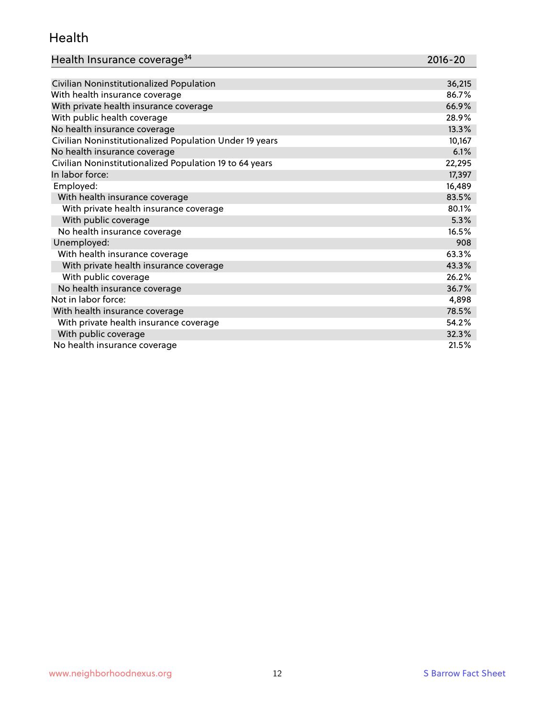### Health

| Health Insurance coverage <sup>34</sup> | 2016-20 |
|-----------------------------------------|---------|
|-----------------------------------------|---------|

| Civilian Noninstitutionalized Population                | 36,215 |
|---------------------------------------------------------|--------|
| With health insurance coverage                          | 86.7%  |
| With private health insurance coverage                  | 66.9%  |
| With public health coverage                             | 28.9%  |
| No health insurance coverage                            | 13.3%  |
| Civilian Noninstitutionalized Population Under 19 years | 10,167 |
| No health insurance coverage                            | 6.1%   |
| Civilian Noninstitutionalized Population 19 to 64 years | 22,295 |
| In labor force:                                         | 17,397 |
| Employed:                                               | 16,489 |
| With health insurance coverage                          | 83.5%  |
| With private health insurance coverage                  | 80.1%  |
| With public coverage                                    | 5.3%   |
| No health insurance coverage                            | 16.5%  |
| Unemployed:                                             | 908    |
| With health insurance coverage                          | 63.3%  |
| With private health insurance coverage                  | 43.3%  |
| With public coverage                                    | 26.2%  |
| No health insurance coverage                            | 36.7%  |
| Not in labor force:                                     | 4,898  |
| With health insurance coverage                          | 78.5%  |
| With private health insurance coverage                  | 54.2%  |
| With public coverage                                    | 32.3%  |
| No health insurance coverage                            | 21.5%  |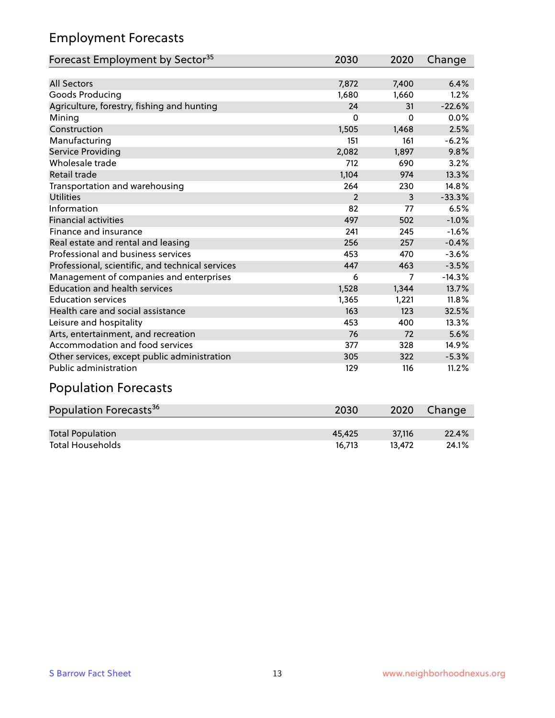### Employment Forecasts

| Forecast Employment by Sector <sup>35</sup>      | 2030           | 2020     | Change   |
|--------------------------------------------------|----------------|----------|----------|
|                                                  |                |          |          |
| <b>All Sectors</b>                               | 7,872          | 7,400    | 6.4%     |
| Goods Producing                                  | 1,680          | 1,660    | 1.2%     |
| Agriculture, forestry, fishing and hunting       | 24             | 31       | $-22.6%$ |
| Mining                                           | $\Omega$       | $\Omega$ | 0.0%     |
| Construction                                     | 1,505          | 1,468    | 2.5%     |
| Manufacturing                                    | 151            | 161      | $-6.2%$  |
| <b>Service Providing</b>                         | 2,082          | 1,897    | 9.8%     |
| Wholesale trade                                  | 712            | 690      | 3.2%     |
| <b>Retail trade</b>                              | 1,104          | 974      | 13.3%    |
| Transportation and warehousing                   | 264            | 230      | 14.8%    |
| <b>Utilities</b>                                 | $\overline{2}$ | 3        | $-33.3%$ |
| Information                                      | 82             | 77       | 6.5%     |
| <b>Financial activities</b>                      | 497            | 502      | $-1.0%$  |
| Finance and insurance                            | 241            | 245      | $-1.6%$  |
| Real estate and rental and leasing               | 256            | 257      | $-0.4%$  |
| Professional and business services               | 453            | 470      | $-3.6%$  |
| Professional, scientific, and technical services | 447            | 463      | $-3.5%$  |
| Management of companies and enterprises          | 6              | 7        | $-14.3%$ |
| <b>Education and health services</b>             | 1,528          | 1,344    | 13.7%    |
| <b>Education services</b>                        | 1,365          | 1,221    | 11.8%    |
| Health care and social assistance                | 163            | 123      | 32.5%    |
| Leisure and hospitality                          | 453            | 400      | 13.3%    |
| Arts, entertainment, and recreation              | 76             | 72       | 5.6%     |
| Accommodation and food services                  | 377            | 328      | 14.9%    |
| Other services, except public administration     | 305            | 322      | $-5.3%$  |
| <b>Public administration</b>                     | 129            | 116      | 11.2%    |
| <b>Population Forecasts</b>                      |                |          |          |

| Population Forecasts <sup>36</sup> | 2030   | 2020   | Change |
|------------------------------------|--------|--------|--------|
|                                    |        |        |        |
| <b>Total Population</b>            | 45.425 | 37.116 | 22.4%  |
| <b>Total Households</b>            | 16.713 | 13.472 | 24.1%  |